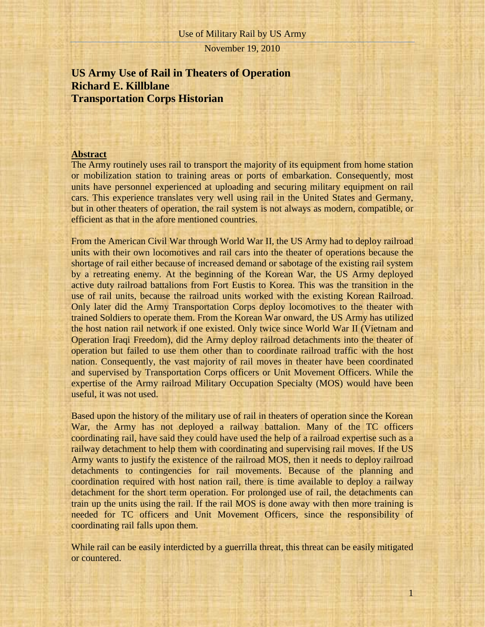# **US Army Use of Rail in Theaters of Operation Richard E. Killblane Transportation Corps Historian**

## **Abstract**

The Army routinely uses rail to transport the majority of its equipment from home station or mobilization station to training areas or ports of embarkation. Consequently, most units have personnel experienced at uploading and securing military equipment on rail cars. This experience translates very well using rail in the United States and Germany, but in other theaters of operation, the rail system is not always as modern, compatible, or efficient as that in the afore mentioned countries.

From the American Civil War through World War II, the US Army had to deploy railroad units with their own locomotives and rail cars into the theater of operations because the shortage of rail either because of increased demand or sabotage of the existing rail system by a retreating enemy. At the beginning of the Korean War, the US Army deployed active duty railroad battalions from Fort Eustis to Korea. This was the transition in the use of rail units, because the railroad units worked with the existing Korean Railroad. Only later did the Army Transportation Corps deploy locomotives to the theater with trained Soldiers to operate them. From the Korean War onward, the US Army has utilized the host nation rail network if one existed. Only twice since World War II (Vietnam and Operation Iraqi Freedom), did the Army deploy railroad detachments into the theater of operation but failed to use them other than to coordinate railroad traffic with the host nation. Consequently, the vast majority of rail moves in theater have been coordinated and supervised by Transportation Corps officers or Unit Movement Officers. While the expertise of the Army railroad Military Occupation Specialty (MOS) would have been useful, it was not used.

Based upon the history of the military use of rail in theaters of operation since the Korean War, the Army has not deployed a railway battalion. Many of the TC officers coordinating rail, have said they could have used the help of a railroad expertise such as a railway detachment to help them with coordinating and supervising rail moves. If the US Army wants to justify the existence of the railroad MOS, then it needs to deploy railroad detachments to contingencies for rail movements. Because of the planning and coordination required with host nation rail, there is time available to deploy a railway detachment for the short term operation. For prolonged use of rail, the detachments can train up the units using the rail. If the rail MOS is done away with then more training is needed for TC officers and Unit Movement Officers, since the responsibility of coordinating rail falls upon them.

While rail can be easily interdicted by a guerrilla threat, this threat can be easily mitigated or countered.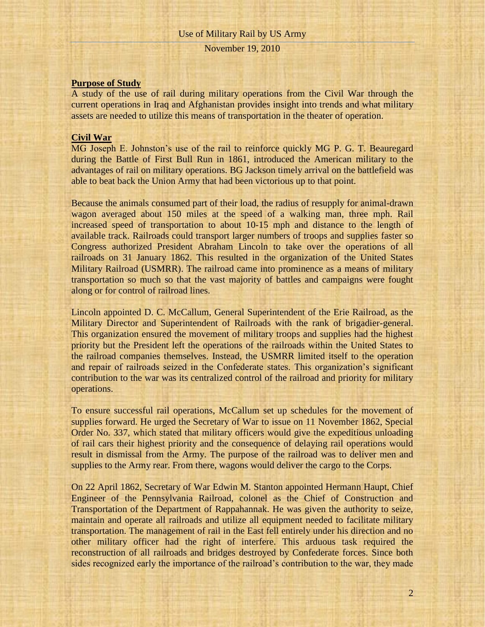## **Purpose of Study**

A study of the use of rail during military operations from the Civil War through the current operations in Iraq and Afghanistan provides insight into trends and what military assets are needed to utilize this means of transportation in the theater of operation.

#### **Civil War**

MG Joseph E. Johnston's use of the rail to reinforce quickly MG P. G. T. Beauregard during the Battle of First Bull Run in 1861, introduced the American military to the advantages of rail on military operations. BG Jackson timely arrival on the battlefield was able to beat back the Union Army that had been victorious up to that point.

Because the animals consumed part of their load, the radius of resupply for animal-drawn wagon averaged about 150 miles at the speed of a walking man, three mph. Rail increased speed of transportation to about 10-15 mph and distance to the length of available track. Railroads could transport larger numbers of troops and supplies faster so Congress authorized President Abraham Lincoln to take over the operations of all railroads on 31 January 1862. This resulted in the organization of the United States Military Railroad (USMRR). The railroad came into prominence as a means of military transportation so much so that the vast majority of battles and campaigns were fought along or for control of railroad lines.

Lincoln appointed D. C. McCallum, General Superintendent of the Erie Railroad, as the Military Director and Superintendent of Railroads with the rank of brigadier-general. This organization ensured the movement of military troops and supplies had the highest priority but the President left the operations of the railroads within the United States to the railroad companies themselves. Instead, the USMRR limited itself to the operation and repair of railroads seized in the Confederate states. This organization's significant contribution to the war was its centralized control of the railroad and priority for military operations.

To ensure successful rail operations, McCallum set up schedules for the movement of supplies forward. He urged the Secretary of War to issue on 11 November 1862, Special Order No. 337, which stated that military officers would give the expeditious unloading of rail cars their highest priority and the consequence of delaying rail operations would result in dismissal from the Army. The purpose of the railroad was to deliver men and supplies to the Army rear. From there, wagons would deliver the cargo to the Corps.

On 22 April 1862, Secretary of War Edwin M. Stanton appointed Hermann Haupt, Chief Engineer of the Pennsylvania Railroad, colonel as the Chief of Construction and Transportation of the Department of Rappahannak. He was given the authority to seize, maintain and operate all railroads and utilize all equipment needed to facilitate military transportation. The management of rail in the East fell entirely under his direction and no other military officer had the right of interfere. This arduous task required the reconstruction of all railroads and bridges destroyed by Confederate forces. Since both sides recognized early the importance of the railroad's contribution to the war, they made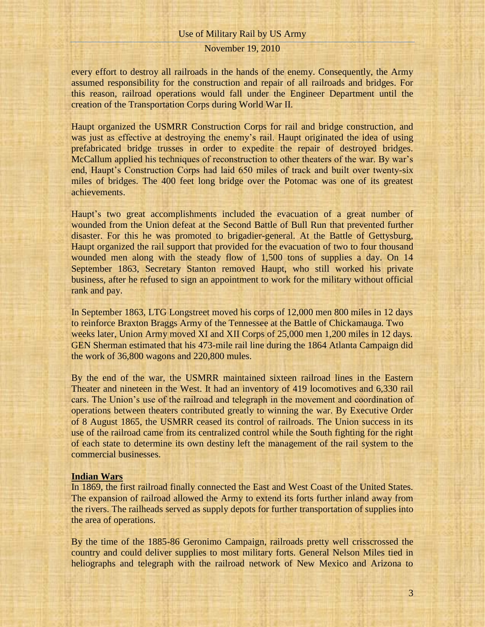## November 19, 2010

every effort to destroy all railroads in the hands of the enemy. Consequently, the Army assumed responsibility for the construction and repair of all railroads and bridges. For this reason, railroad operations would fall under the Engineer Department until the creation of the Transportation Corps during World War II.

Haupt organized the USMRR Construction Corps for rail and bridge construction, and was just as effective at destroying the enemy's rail. Haupt originated the idea of using prefabricated bridge trusses in order to expedite the repair of destroyed bridges. McCallum applied his techniques of reconstruction to other theaters of the war. By war's end, Haupt's Construction Corps had laid 650 miles of track and built over twenty-six miles of bridges. The 400 feet long bridge over the Potomac was one of its greatest achievements.

Haupt's two great accomplishments included the evacuation of a great number of wounded from the Union defeat at the Second Battle of Bull Run that prevented further disaster. For this he was promoted to brigadier-general. At the Battle of Gettysburg, Haupt organized the rail support that provided for the evacuation of two to four thousand wounded men along with the steady flow of 1,500 tons of supplies a day. On 14 September 1863, Secretary Stanton removed Haupt, who still worked his private business, after he refused to sign an appointment to work for the military without official rank and pay.

In September 1863, LTG Longstreet moved his corps of 12,000 men 800 miles in 12 days to reinforce Braxton Braggs Army of the Tennessee at the Battle of Chickamauga. Two weeks later, Union Army moved XI and XII Corps of 25,000 men 1,200 miles in 12 days. GEN Sherman estimated that his 473-mile rail line during the 1864 Atlanta Campaign did the work of 36,800 wagons and 220,800 mules.

By the end of the war, the USMRR maintained sixteen railroad lines in the Eastern Theater and nineteen in the West. It had an inventory of 419 locomotives and 6,330 rail cars. The Union's use of the railroad and telegraph in the movement and coordination of operations between theaters contributed greatly to winning the war. By Executive Order of 8 August 1865, the USMRR ceased its control of railroads. The Union success in its use of the railroad came from its centralized control while the South fighting for the right of each state to determine its own destiny left the management of the rail system to the commercial businesses.

#### **Indian Wars**

In 1869, the first railroad finally connected the East and West Coast of the United States. The expansion of railroad allowed the Army to extend its forts further inland away from the rivers. The railheads served as supply depots for further transportation of supplies into the area of operations.

By the time of the 1885-86 Geronimo Campaign, railroads pretty well crisscrossed the country and could deliver supplies to most military forts. General Nelson Miles tied in heliographs and telegraph with the railroad network of New Mexico and Arizona to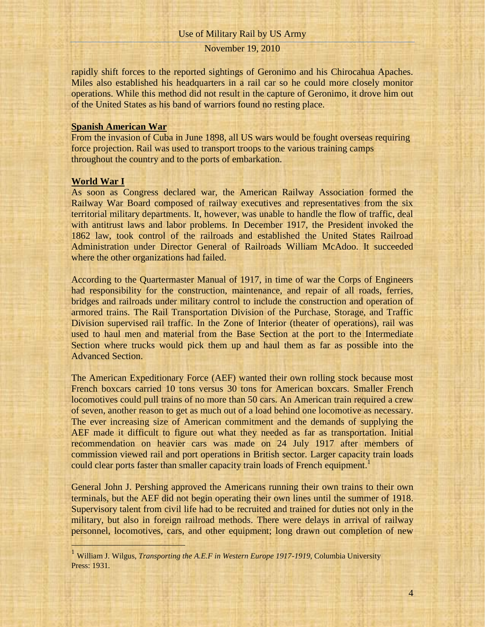rapidly shift forces to the reported sightings of Geronimo and his Chirocahua Apaches. Miles also established his headquarters in a rail car so he could more closely monitor operations. While this method did not result in the capture of Geronimo, it drove him out of the United States as his band of warriors found no resting place.

## **Spanish American War**

From the invasion of Cuba in June 1898, all US wars would be fought overseas requiring force projection. Rail was used to transport troops to the various training camps throughout the country and to the ports of embarkation.

#### **World War I**

l

As soon as Congress declared war, the American Railway Association formed the Railway War Board composed of railway executives and representatives from the six territorial military departments. It, however, was unable to handle the flow of traffic, deal with antitrust laws and labor problems. In December 1917, the President invoked the 1862 law, took control of the railroads and established the United States Railroad Administration under Director General of Railroads William McAdoo. It succeeded where the other organizations had failed.

According to the Quartermaster Manual of 1917, in time of war the Corps of Engineers had responsibility for the construction, maintenance, and repair of all roads, ferries, bridges and railroads under military control to include the construction and operation of armored trains. The Rail Transportation Division of the Purchase, Storage, and Traffic Division supervised rail traffic. In the Zone of Interior (theater of operations), rail was used to haul men and material from the Base Section at the port to the Intermediate Section where trucks would pick them up and haul them as far as possible into the Advanced Section.

The American Expeditionary Force (AEF) wanted their own rolling stock because most French boxcars carried 10 tons versus 30 tons for American boxcars. Smaller French locomotives could pull trains of no more than 50 cars. An American train required a crew of seven, another reason to get as much out of a load behind one locomotive as necessary. The ever increasing size of American commitment and the demands of supplying the AEF made it difficult to figure out what they needed as far as transportation. Initial recommendation on heavier cars was made on 24 July 1917 after members of commission viewed rail and port operations in British sector. Larger capacity train loads could clear ports faster than smaller capacity train loads of French equipment.<sup>1</sup>

General John J. Pershing approved the Americans running their own trains to their own terminals, but the AEF did not begin operating their own lines until the summer of 1918. Supervisory talent from civil life had to be recruited and trained for duties not only in the military, but also in foreign railroad methods. There were delays in arrival of railway personnel, locomotives, cars, and other equipment; long drawn out completion of new

<sup>&</sup>lt;sup>1</sup> William J. Wilgus, *Transporting the A.E.F in Western Europe 1917-1919*, Columbia University Press: 1931.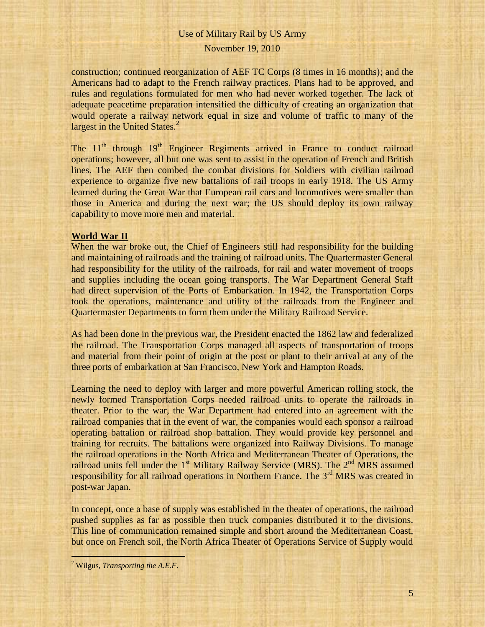## November 19, 2010

construction; continued reorganization of AEF TC Corps (8 times in 16 months); and the Americans had to adapt to the French railway practices. Plans had to be approved, and rules and regulations formulated for men who had never worked together. The lack of adequate peacetime preparation intensified the difficulty of creating an organization that would operate a railway network equal in size and volume of traffic to many of the largest in the United States.<sup>2</sup>

The 11<sup>th</sup> through 19<sup>th</sup> Engineer Regiments arrived in France to conduct railroad operations; however, all but one was sent to assist in the operation of French and British lines. The AEF then combed the combat divisions for Soldiers with civilian railroad experience to organize five new battalions of rail troops in early 1918. The US Army learned during the Great War that European rail cars and locomotives were smaller than those in America and during the next war; the US should deploy its own railway capability to move more men and material.

#### **World War II**

When the war broke out, the Chief of Engineers still had responsibility for the building and maintaining of railroads and the training of railroad units. The Quartermaster General had responsibility for the utility of the railroads, for rail and water movement of troops and supplies including the ocean going transports. The War Department General Staff had direct supervision of the Ports of Embarkation. In 1942, the Transportation Corps took the operations, maintenance and utility of the railroads from the Engineer and Quartermaster Departments to form them under the Military Railroad Service.

As had been done in the previous war, the President enacted the 1862 law and federalized the railroad. The Transportation Corps managed all aspects of transportation of troops and material from their point of origin at the post or plant to their arrival at any of the three ports of embarkation at San Francisco, New York and Hampton Roads.

Learning the need to deploy with larger and more powerful American rolling stock, the newly formed Transportation Corps needed railroad units to operate the railroads in theater. Prior to the war, the War Department had entered into an agreement with the railroad companies that in the event of war, the companies would each sponsor a railroad operating battalion or railroad shop battalion. They would provide key personnel and training for recruits. The battalions were organized into Railway Divisions. To manage the railroad operations in the North Africa and Mediterranean Theater of Operations, the railroad units fell under the  $1<sup>st</sup>$  Military Railway Service (MRS). The  $2<sup>nd</sup>$  MRS assumed responsibility for all railroad operations in Northern France. The 3<sup>rd</sup> MRS was created in post-war Japan.

In concept, once a base of supply was established in the theater of operations, the railroad pushed supplies as far as possible then truck companies distributed it to the divisions. This line of communication remained simple and short around the Mediterranean Coast, but once on French soil, the North Africa Theater of Operations Service of Supply would

<sup>2</sup> Wilgus, *Transporting the A.E.F*.

i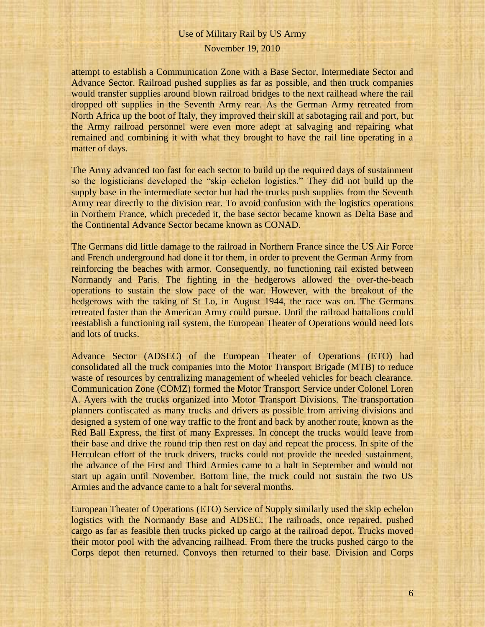## November 19, 2010

attempt to establish a Communication Zone with a Base Sector, Intermediate Sector and Advance Sector. Railroad pushed supplies as far as possible, and then truck companies would transfer supplies around blown railroad bridges to the next railhead where the rail dropped off supplies in the Seventh Army rear. As the German Army retreated from North Africa up the boot of Italy, they improved their skill at sabotaging rail and port, but the Army railroad personnel were even more adept at salvaging and repairing what remained and combining it with what they brought to have the rail line operating in a matter of days.

The Army advanced too fast for each sector to build up the required days of sustainment so the logisticians developed the "skip echelon logistics." They did not build up the supply base in the intermediate sector but had the trucks push supplies from the Seventh Army rear directly to the division rear. To avoid confusion with the logistics operations in Northern France, which preceded it, the base sector became known as Delta Base and the Continental Advance Sector became known as CONAD.

The Germans did little damage to the railroad in Northern France since the US Air Force and French underground had done it for them, in order to prevent the German Army from reinforcing the beaches with armor. Consequently, no functioning rail existed between Normandy and Paris. The fighting in the hedgerows allowed the over-the-beach operations to sustain the slow pace of the war. However, with the breakout of the hedgerows with the taking of St Lo, in August 1944, the race was on. The Germans retreated faster than the American Army could pursue. Until the railroad battalions could reestablish a functioning rail system, the European Theater of Operations would need lots and lots of trucks.

Advance Sector (ADSEC) of the European Theater of Operations (ETO) had consolidated all the truck companies into the Motor Transport Brigade (MTB) to reduce waste of resources by centralizing management of wheeled vehicles for beach clearance. Communication Zone (COMZ) formed the Motor Transport Service under Colonel Loren A. Ayers with the trucks organized into Motor Transport Divisions. The transportation planners confiscated as many trucks and drivers as possible from arriving divisions and designed a system of one way traffic to the front and back by another route, known as the Red Ball Express, the first of many Expresses. In concept the trucks would leave from their base and drive the round trip then rest on day and repeat the process. In spite of the Herculean effort of the truck drivers, trucks could not provide the needed sustainment, the advance of the First and Third Armies came to a halt in September and would not start up again until November. Bottom line, the truck could not sustain the two US Armies and the advance came to a halt for several months.

European Theater of Operations (ETO) Service of Supply similarly used the skip echelon logistics with the Normandy Base and ADSEC. The railroads, once repaired, pushed cargo as far as feasible then trucks picked up cargo at the railroad depot. Trucks moved their motor pool with the advancing railhead. From there the trucks pushed cargo to the Corps depot then returned. Convoys then returned to their base. Division and Corps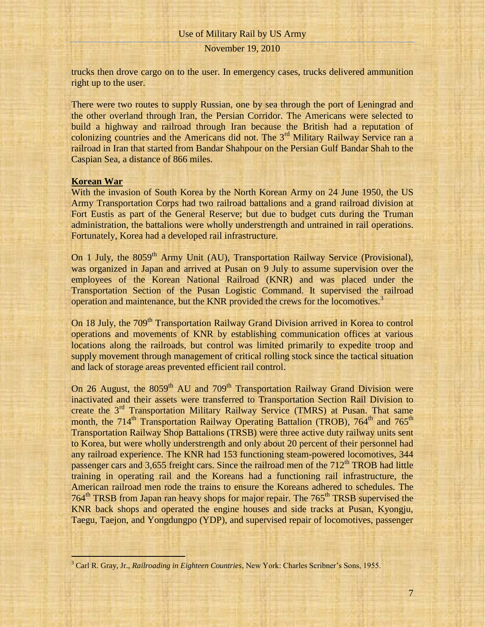trucks then drove cargo on to the user. In emergency cases, trucks delivered ammunition right up to the user.

There were two routes to supply Russian, one by sea through the port of Leningrad and the other overland through Iran, the Persian Corridor. The Americans were selected to build a highway and railroad through Iran because the British had a reputation of colonizing countries and the Americans did not. The 3<sup>rd</sup> Military Railway Service ran a railroad in Iran that started from Bandar Shahpour on the Persian Gulf Bandar Shah to the Caspian Sea, a distance of 866 miles.

#### **Korean War**

i

With the invasion of South Korea by the North Korean Army on 24 June 1950, the US Army Transportation Corps had two railroad battalions and a grand railroad division at Fort Eustis as part of the General Reserve; but due to budget cuts during the Truman administration, the battalions were wholly understrength and untrained in rail operations. Fortunately, Korea had a developed rail infrastructure.

On 1 July, the 8059<sup>th</sup> Army Unit (AU), Transportation Railway Service (Provisional), was organized in Japan and arrived at Pusan on 9 July to assume supervision over the employees of the Korean National Railroad (KNR) and was placed under the Transportation Section of the Pusan Logistic Command. It supervised the railroad operation and maintenance, but the KNR provided the crews for the locomotives.<sup>3</sup>

On 18 July, the 709<sup>th</sup> Transportation Railway Grand Division arrived in Korea to control operations and movements of KNR by establishing communication offices at various locations along the railroads, but control was limited primarily to expedite troop and supply movement through management of critical rolling stock since the tactical situation and lack of storage areas prevented efficient rail control.

On 26 August, the  $8059<sup>th</sup>$  AU and  $709<sup>th</sup>$  Transportation Railway Grand Division were inactivated and their assets were transferred to Transportation Section Rail Division to create the 3<sup>rd</sup> Transportation Military Railway Service (TMRS) at Pusan. That same month, the  $714<sup>th</sup>$  Transportation Railway Operating Battalion (TROB),  $764<sup>th</sup>$  and  $765<sup>th</sup>$ Transportation Railway Shop Battalions (TRSB) were three active duty railway units sent to Korea, but were wholly understrength and only about 20 percent of their personnel had any railroad experience. The KNR had 153 functioning steam-powered locomotives, 344 passenger cars and 3,655 freight cars. Since the railroad men of the  $712<sup>th</sup> TROB$  had little training in operating rail and the Koreans had a functioning rail infrastructure, the American railroad men rode the trains to ensure the Koreans adhered to schedules. The 764<sup>th</sup> TRSB from Japan ran heavy shops for major repair. The 765<sup>th</sup> TRSB supervised the KNR back shops and operated the engine houses and side tracks at Pusan, Kyongju, Taegu, Taejon, and Yongdungpo (YDP), and supervised repair of locomotives, passenger

<sup>3</sup> Carl R. Gray, Jr., *Railroading in Eighteen Countries*, New York: Charles Scribner's Sons, 1955.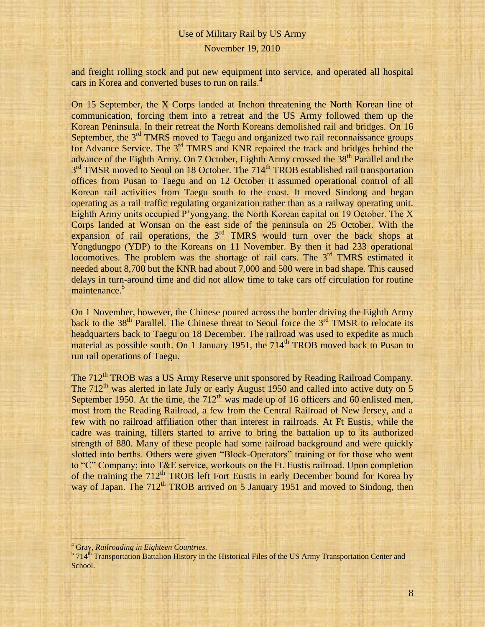## November 19, 2010

and freight rolling stock and put new equipment into service, and operated all hospital cars in Korea and converted buses to run on rails.<sup>4</sup>

On 15 September, the X Corps landed at Inchon threatening the North Korean line of communication, forcing them into a retreat and the US Army followed them up the Korean Peninsula. In their retreat the North Koreans demolished rail and bridges. On 16 September, the 3<sup>rd</sup> TMRS moved to Taegu and organized two rail reconnaissance groups for Advance Service. The 3rd TMRS and KNR repaired the track and bridges behind the advance of the Eighth Army. On 7 October, Eighth Army crossed the 38<sup>th</sup> Parallel and the 3<sup>rd</sup> TMSR moved to Seoul on 18 October. The 714<sup>th</sup> TROB established rail transportation offices from Pusan to Taegu and on 12 October it assumed operational control of all Korean rail activities from Taegu south to the coast. It moved Sindong and began operating as a rail traffic regulating organization rather than as a railway operating unit. Eighth Army units occupied P'yongyang, the North Korean capital on 19 October. The X Corps landed at Wonsan on the east side of the peninsula on 25 October. With the expansion of rail operations, the  $3<sup>rd</sup>$  TMRS would turn over the back shops at Yongdungpo (YDP) to the Koreans on 11 November. By then it had 233 operational locomotives. The problem was the shortage of rail cars. The  $3<sup>rd</sup>$  TMRS estimated it needed about 8,700 but the KNR had about 7,000 and 500 were in bad shape. This caused delays in turn-around time and did not allow time to take cars off circulation for routine maintenance.<sup>5</sup>

On 1 November, however, the Chinese poured across the border driving the Eighth Army back to the  $38<sup>th</sup>$  Parallel. The Chinese threat to Seoul force the  $3<sup>rd</sup>$  TMSR to relocate its headquarters back to Taegu on 18 December. The railroad was used to expedite as much material as possible south. On 1 January 1951, the  $714<sup>th</sup> TROB$  moved back to Pusan to run rail operations of Taegu.

The 712<sup>th</sup> TROB was a US Army Reserve unit sponsored by Reading Railroad Company. The  $712<sup>th</sup>$  was alerted in late July or early August 1950 and called into active duty on 5 September 1950. At the time, the  $712<sup>th</sup>$  was made up of 16 officers and 60 enlisted men, most from the Reading Railroad, a few from the Central Railroad of New Jersey, and a few with no railroad affiliation other than interest in railroads. At Ft Eustis, while the cadre was training, fillers started to arrive to bring the battalion up to its authorized strength of 880. Many of these people had some railroad background and were quickly slotted into berths. Others were given "Block-Operators" training or for those who went to "C" Company; into T&E service, workouts on the Ft. Eustis railroad. Upon completion of the training the 712<sup>th</sup> TROB left Fort Eustis in early December bound for Korea by way of Japan. The  $712<sup>th</sup>$  TROB arrived on 5 January 1951 and moved to Sindong, then

<sup>&</sup>lt;sup>4</sup> Gray, *Railroading in Eighteen Countries*.<br><sup>5</sup> 714<sup>th</sup> Transportation Battalion History in the Historical Files of the US Army Transportation Center and School.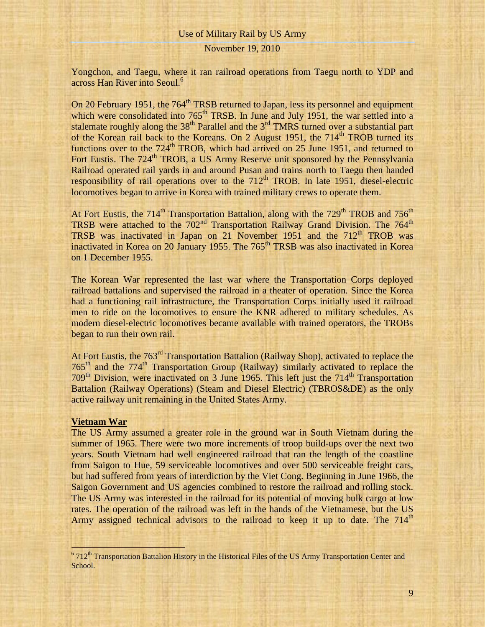## November 19, 2010

Yongchon, and Taegu, where it ran railroad operations from Taegu north to YDP and across Han River into Seoul.<sup>6</sup>

On 20 February 1951, the 764<sup>th</sup> TRSB returned to Japan, less its personnel and equipment which were consolidated into  $765<sup>th</sup> TRSB$ . In June and July 1951, the war settled into a stalemate roughly along the  $38<sup>th</sup>$  Parallel and the  $3<sup>rd</sup>$  TMRS turned over a substantial part of the Korean rail back to the Koreans. On 2 August 1951, the  $714<sup>th</sup>$  TROB turned its functions over to the  $724<sup>th</sup> TROB$ , which had arrived on 25 June 1951, and returned to Fort Eustis. The 724<sup>th</sup> TROB, a US Army Reserve unit sponsored by the Pennsylvania Railroad operated rail yards in and around Pusan and trains north to Taegu then handed responsibility of rail operations over to the  $712<sup>th</sup> TROB$ . In late 1951, diesel-electric locomotives began to arrive in Korea with trained military crews to operate them.

At Fort Eustis, the 714<sup>th</sup> Transportation Battalion, along with the 729<sup>th</sup> TROB and 756<sup>th</sup> TRSB were attached to the  $702<sup>nd</sup>$  Transportation Railway Grand Division. The  $764<sup>th</sup>$ TRSB was inactivated in Japan on 21 November 1951 and the  $712<sup>th</sup>$  TROB was inactivated in Korea on 20 January 1955. The  $765<sup>th</sup>$  TRSB was also inactivated in Korea on 1 December 1955.

The Korean War represented the last war where the Transportation Corps deployed railroad battalions and supervised the railroad in a theater of operation. Since the Korea had a functioning rail infrastructure, the Transportation Corps initially used it railroad men to ride on the locomotives to ensure the KNR adhered to military schedules. As modern diesel-electric locomotives became available with trained operators, the TROBs began to run their own rail.

At Fort Eustis, the 763<sup>rd</sup> Transportation Battalion (Railway Shop), activated to replace the 765<sup>th</sup> and the 774<sup>th</sup> Transportation Group (Railway) similarly activated to replace the  $709<sup>th</sup>$  Division, were inactivated on 3 June 1965. This left just the  $714<sup>th</sup>$  Transportation Battalion (Railway Operations) (Steam and Diesel Electric) (TBROS&DE) as the only active railway unit remaining in the United States Army.

#### **Vietnam War**

The US Army assumed a greater role in the ground war in South Vietnam during the summer of 1965. There were two more increments of troop build-ups over the next two years. South Vietnam had well engineered railroad that ran the length of the coastline from Saigon to Hue, 59 serviceable locomotives and over 500 serviceable freight cars, but had suffered from years of interdiction by the Viet Cong. Beginning in June 1966, the Saigon Government and US agencies combined to restore the railroad and rolling stock. The US Army was interested in the railroad for its potential of moving bulk cargo at low rates. The operation of the railroad was left in the hands of the Vietnamese, but the US Army assigned technical advisors to the railroad to keep it up to date. The  $714<sup>th</sup>$ 

9

<sup>&</sup>lt;sup>6</sup> 712<sup>th</sup> Transportation Battalion History in the Historical Files of the US Army Transportation Center and <sup>6</sup> School.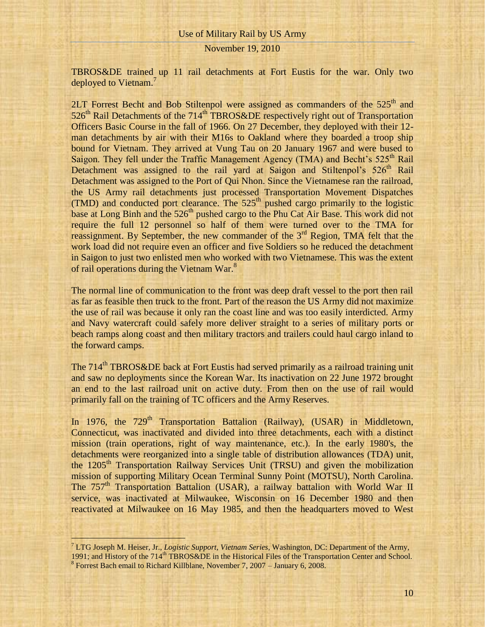November 19, 2010

TBROS&DE trained up 11 rail detachments at Fort Eustis for the war. Only two deployed to Vietnam.<sup>7</sup>

2LT Forrest Becht and Bob Stiltenpol were assigned as commanders of the  $525<sup>th</sup>$  and  $526<sup>th</sup>$  Rail Detachments of the  $714<sup>th</sup>$  TBROS&DE respectively right out of Transportation Officers Basic Course in the fall of 1966. On 27 December, they deployed with their 12 man detachments by air with their M16s to Oakland where they boarded a troop ship bound for Vietnam. They arrived at Vung Tau on 20 January 1967 and were bused to Saigon. They fell under the Traffic Management Agency (TMA) and Becht's  $525<sup>th</sup>$  Rail Detachment was assigned to the rail yard at Saigon and Stiltenpol's  $526<sup>th</sup>$  Rail Detachment was assigned to the Port of Qui Nhon. Since the Vietnamese ran the railroad, the US Army rail detachments just processed Transportation Movement Dispatches (TMD) and conducted port clearance. The  $525<sup>th</sup>$  pushed cargo primarily to the logistic base at Long Binh and the 526<sup>th</sup> pushed cargo to the Phu Cat Air Base. This work did not require the full 12 personnel so half of them were turned over to the TMA for reassignment. By September, the new commander of the  $3<sup>rd</sup>$  Region, TMA felt that the work load did not require even an officer and five Soldiers so he reduced the detachment in Saigon to just two enlisted men who worked with two Vietnamese. This was the extent of rail operations during the Vietnam War.<sup>8</sup>

The normal line of communication to the front was deep draft vessel to the port then rail as far as feasible then truck to the front. Part of the reason the US Army did not maximize the use of rail was because it only ran the coast line and was too easily interdicted. Army and Navy watercraft could safely more deliver straight to a series of military ports or beach ramps along coast and then military tractors and trailers could haul cargo inland to the forward camps.

The 714<sup>th</sup> TBROS&DE back at Fort Eustis had served primarily as a railroad training unit and saw no deployments since the Korean War. Its inactivation on 22 June 1972 brought an end to the last railroad unit on active duty. From then on the use of rail would primarily fall on the training of TC officers and the Army Reserves.

In 1976, the  $729<sup>th</sup>$  Transportation Battalion (Railway), (USAR) in Middletown, Connecticut, was inactivated and divided into three detachments, each with a distinct mission (train operations, right of way maintenance, etc.). In the early 1980's, the detachments were reorganized into a single table of distribution allowances (TDA) unit, the 1205<sup>th</sup> Transportation Railway Services Unit (TRSU) and given the mobilization mission of supporting Military Ocean Terminal Sunny Point (MOTSU), North Carolina. The  $757<sup>th</sup>$  Transportation Battalion (USAR), a railway battalion with World War II service, was inactivated at Milwaukee, Wisconsin on 16 December 1980 and then reactivated at Milwaukee on 16 May 1985, and then the headquarters moved to West

<sup>7</sup> LTG Joseph M. Heiser, Jr., *Logistic Support, Vietnam Series*, Washington, DC: Department of the Army, 1991; and History of the 714<sup>th</sup> TBROS&DE in the Historical Files of the Transportation Center and School. <sup>8</sup> Forrest Bach email to Richard Killblane, November 7, 2007 – January 6, 2008.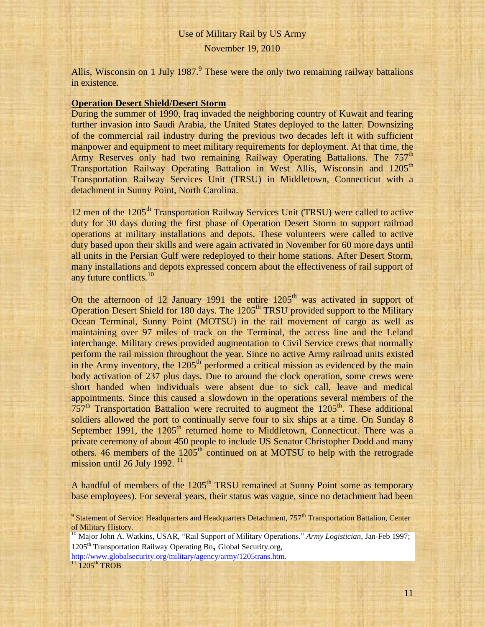Allis, Wisconsin on 1 July 1987. $9$  These were the only two remaining railway battalions in existence.

#### **Operation Desert Shield/Desert Storm**

During the summer of 1990, Iraq invaded the neighboring country of Kuwait and fearing further invasion into Saudi Arabia, the United States deployed to the latter. Downsizing of the commercial rail industry during the previous two decades left it with sufficient manpower and equipment to meet military requirements for deployment. At that time, the Army Reserves only had two remaining Railway Operating Battalions. The 757<sup>th</sup> Transportation Railway Operating Battalion in West Allis, Wisconsin and 1205<sup>th</sup> Transportation Railway Services Unit (TRSU) in Middletown, Connecticut with a detachment in Sunny Point, North Carolina.

12 men of the 1205<sup>th</sup> Transportation Railway Services Unit (TRSU) were called to active duty for 30 days during the first phase of Operation Desert Storm to support railroad operations at military installations and depots. These volunteers were called to active duty based upon their skills and were again activated in November for 60 more days until all units in the Persian Gulf were redeployed to their home stations. After Desert Storm, many installations and depots expressed concern about the effectiveness of rail support of any future conflicts.<sup>10</sup>

On the afternoon of 12 January 1991 the entire  $1205<sup>th</sup>$  was activated in support of Operation Desert Shield for 180 days. The 1205<sup>th</sup> TRSU provided support to the Military Ocean Terminal, Sunny Point (MOTSU) in the rail movement of cargo as well as maintaining over 97 miles of track on the Terminal, the access line and the Leland interchange. Military crews provided augmentation to Civil Service crews that normally perform the rail mission throughout the year. Since no active Army railroad units existed in the Army inventory, the  $1205<sup>th</sup>$  performed a critical mission as evidenced by the main body activation of 237 plus days. Due to around the clock operation, some crews were short handed when individuals were absent due to sick call, leave and medical appointments. Since this caused a slowdown in the operations several members of the  $757<sup>th</sup>$  Transportation Battalion were recruited to augment the  $1205<sup>th</sup>$ . These additional soldiers allowed the port to continually serve four to six ships at a time. On Sunday 8 September 1991, the  $1205<sup>th</sup>$  returned home to Middletown, Connecticut. There was a private ceremony of about 450 people to include US Senator Christopher Dodd and many others. 46 members of the  $1205<sup>th</sup>$  continued on at MOTSU to help with the retrograde mission until 26 July 1992.<sup>11</sup>

A handful of members of the 1205<sup>th</sup> TRSU remained at Sunny Point some as temporary base employees). For several years, their status was vague, since no detachment had been

<sup>10</sup> Major John A. Watkins, USAR, "Rail Support of Military Operations," *Army Logistician*, Jan-Feb 1997; 1205th Transportation Railway Operating Bn**,** Global Security.org,

[http://www.globalsecurity.org/military/agency/army/1205trans.htm.](http://www.globalsecurity.org/military/agency/army/1205trans.htm)

 $^{11}$  1205<sup>th</sup> TROB

 $9$  Statement of Service: Headquarters and Headquarters Detachment,  $757<sup>th</sup>$  Transportation Battalion, Center of Military History.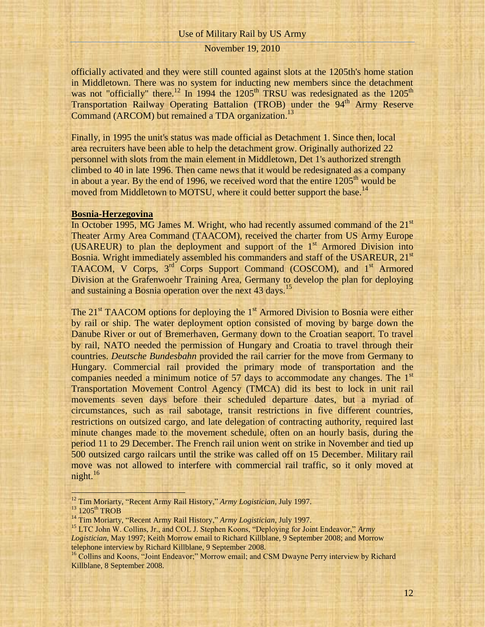### November 19, 2010

officially activated and they were still counted against slots at the 1205th's home station in Middletown. There was no system for inducting new members since the detachment was not "officially" there.<sup>12</sup> In 1994 the  $1205<sup>th</sup> TRSU$  was redesignated as the  $1205<sup>th</sup>$ Transportation Railway Operating Battalion (TROB) under the 94<sup>th</sup> Army Reserve Command (ARCOM) but remained a TDA organization.<sup>13</sup>

Finally, in 1995 the unit's status was made official as Detachment 1. Since then, local area recruiters have been able to help the detachment grow. Originally authorized 22 personnel with slots from the main element in Middletown, Det 1's authorized strength climbed to 40 in late 1996. Then came news that it would be redesignated as a company in about a year. By the end of 1996, we received word that the entire  $1205<sup>th</sup>$  would be moved from Middletown to MOTSU, where it could better support the base.<sup>14</sup>

## **Bosnia-Herzegovina**

In October 1995, MG James M. Wright, who had recently assumed command of the  $21<sup>st</sup>$ Theater Army Area Command (TAACOM), received the charter from US Army Europe (USAREUR) to plan the deployment and support of the  $1<sup>st</sup>$  Armored Division into Bosnia. Wright immediately assembled his commanders and staff of the USAREUR, 21<sup>st</sup> TAACOM, V Corps, 3<sup>rd</sup> Corps Support Command (COSCOM), and 1<sup>st</sup> Armored Division at the Grafenwoehr Training Area, Germany to develop the plan for deploying and sustaining a Bosnia operation over the next 43 days.<sup>15</sup>

The  $21<sup>st</sup> TAACOM$  options for deploying the  $1<sup>st</sup>$  Armored Division to Bosnia were either by rail or ship. The water deployment option consisted of moving by barge down the Danube River or out of Bremerhaven, Germany down to the Croatian seaport. To travel by rail, NATO needed the permission of Hungary and Croatia to travel through their countries. *Deutsche Bundesbahn* provided the rail carrier for the move from Germany to Hungary. Commercial rail provided the primary mode of transportation and the companies needed a minimum notice of 57 days to accommodate any changes. The  $1<sup>st</sup>$ Transportation Movement Control Agency (TMCA) did its best to lock in unit rail movements seven days before their scheduled departure dates, but a myriad of circumstances, such as rail sabotage, transit restrictions in five different countries, restrictions on outsized cargo, and late delegation of contracting authority, required last minute changes made to the movement schedule, often on an hourly basis, during the period 11 to 29 December. The French rail union went on strike in November and tied up 500 outsized cargo railcars until the strike was called off on 15 December. Military rail move was not allowed to interfere with commercial rail traffic, so it only moved at night. $16$ 

<sup>12</sup> Tim Moriarty, "Recent Army Rail History," *Army Logistician*, July 1997.

<sup>&</sup>lt;sup>13</sup> 1205<sup>th</sup> TROB

<sup>14</sup> Tim Moriarty, "Recent Army Rail History," *Army Logistician*, July 1997.

<sup>15</sup> LTC John W. Collins, Jr., and COL J. Stephen Koons, "Deploying for Joint Endeavor," *Army Logistician*, May 1997; Keith Morrow email to Richard Killblane, 9 September 2008; and Morrow telephone interview by Richard Killblane, 9 September 2008.

<sup>&</sup>lt;sup>16</sup> Collins and Koons, "Joint Endeavor;" Morrow email; and CSM Dwayne Perry interview by Richard Killblane, 8 September 2008.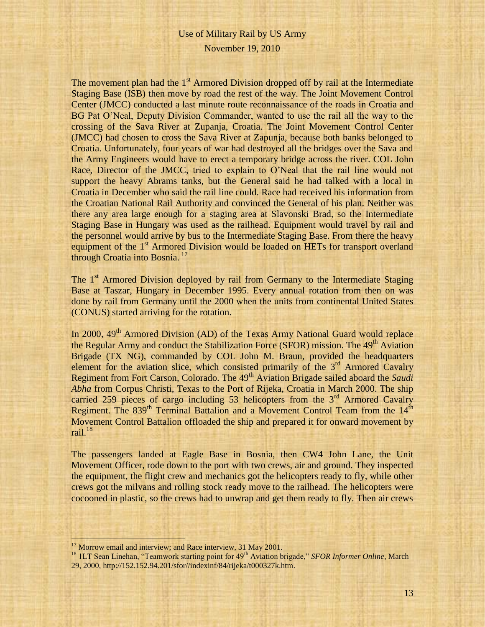The movement plan had the  $1<sup>st</sup>$  Armored Division dropped off by rail at the Intermediate Staging Base (ISB) then move by road the rest of the way. The Joint Movement Control Center (JMCC) conducted a last minute route reconnaissance of the roads in Croatia and BG Pat O'Neal, Deputy Division Commander, wanted to use the rail all the way to the crossing of the Sava River at Zupanja, Croatia. The Joint Movement Control Center (JMCC) had chosen to cross the Sava River at Zapunja, because both banks belonged to Croatia. Unfortunately, four years of war had destroyed all the bridges over the Sava and the Army Engineers would have to erect a temporary bridge across the river. COL John Race, Director of the JMCC, tried to explain to O'Neal that the rail line would not support the heavy Abrams tanks, but the General said he had talked with a local in Croatia in December who said the rail line could. Race had received his information from the Croatian National Rail Authority and convinced the General of his plan. Neither was there any area large enough for a staging area at Slavonski Brad, so the Intermediate Staging Base in Hungary was used as the railhead. Equipment would travel by rail and the personnel would arrive by bus to the Intermediate Staging Base. From there the heavy equipment of the 1<sup>st</sup> Armored Division would be loaded on HETs for transport overland through Croatia into Bosnia.<sup>17</sup>

The 1<sup>st</sup> Armored Division deployed by rail from Germany to the Intermediate Staging Base at Taszar, Hungary in December 1995. Every annual rotation from then on was done by rail from Germany until the 2000 when the units from continental United States (CONUS) started arriving for the rotation.

In 2000,  $49<sup>th</sup>$  Armored Division (AD) of the Texas Army National Guard would replace the Regular Army and conduct the Stabilization Force (SFOR) mission. The  $49<sup>th</sup>$  Aviation Brigade (TX NG), commanded by COL John M. Braun, provided the headquarters element for the aviation slice, which consisted primarily of the  $3<sup>rd</sup>$  Armored Cavalry Regiment from Fort Carson, Colorado. The 49<sup>th</sup> Aviation Brigade sailed aboard the *Saudi Abha* from Corpus Christi, Texas to the Port of Rijeka, Croatia in March 2000. The ship carried 259 pieces of cargo including 53 helicopters from the  $3<sup>rd</sup>$  Armored Cavalry Regiment. The 839<sup>th</sup> Terminal Battalion and a Movement Control Team from the 14<sup>th</sup> Movement Control Battalion offloaded the ship and prepared it for onward movement by rail. $18$ 

The passengers landed at Eagle Base in Bosnia, then CW4 John Lane, the Unit Movement Officer, rode down to the port with two crews, air and ground. They inspected the equipment, the flight crew and mechanics got the helicopters ready to fly, while other crews got the milvans and rolling stock ready move to the railhead. The helicopters were cocooned in plastic, so the crews had to unwrap and get them ready to fly. Then air crews

<sup>&</sup>lt;sup>17</sup> Morrow email and interview; and Race interview, 31 May 2001.

<sup>&</sup>lt;sup>18</sup> 1LT Sean Linehan, "Teamwork starting point for 49<sup>th</sup> Aviation brigade," *SFOR Informer Online*, March 29, 2000, http://152.152.94.201/sfor//indexinf/84/rijeka/t000327k.htm.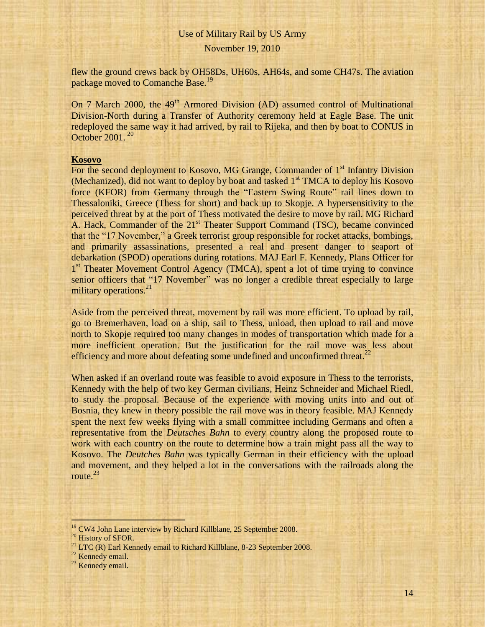## November 19, 2010

flew the ground crews back by OH58Ds, UH60s, AH64s, and some CH47s. The aviation package moved to Comanche Base.<sup>19</sup>

On 7 March 2000, the  $49<sup>th</sup>$  Armored Division (AD) assumed control of Multinational Division-North during a Transfer of Authority ceremony held at Eagle Base. The unit redeployed the same way it had arrived, by rail to Rijeka, and then by boat to CONUS in October 2001. <sup>20</sup>

### **Kosovo**

For the second deployment to Kosovo, MG Grange, Commander of  $1<sup>st</sup>$  Infantry Division (Mechanized), did not want to deploy by boat and tasked  $1<sup>st</sup> TMCA$  to deploy his Kosovo force (KFOR) from Germany through the "Eastern Swing Route" rail lines down to Thessaloniki, Greece (Thess for short) and back up to Skopje. A hypersensitivity to the perceived threat by at the port of Thess motivated the desire to move by rail. MG Richard A. Hack, Commander of the 21<sup>st</sup> Theater Support Command (TSC), became convinced that the "17 November," a Greek terrorist group responsible for rocket attacks, bombings, and primarily assassinations, presented a real and present danger to seaport of debarkation (SPOD) operations during rotations. MAJ Earl F. Kennedy, Plans Officer for 1<sup>st</sup> Theater Movement Control Agency (TMCA), spent a lot of time trying to convince senior officers that "17 November" was no longer a credible threat especially to large military operations.<sup>21</sup>

Aside from the perceived threat, movement by rail was more efficient. To upload by rail, go to Bremerhaven, load on a ship, sail to Thess, unload, then upload to rail and move north to Skopje required too many changes in modes of transportation which made for a more inefficient operation. But the justification for the rail move was less about efficiency and more about defeating some undefined and unconfirmed threat.<sup>22</sup>

When asked if an overland route was feasible to avoid exposure in Thess to the terrorists, Kennedy with the help of two key German civilians, Heinz Schneider and Michael Riedl, to study the proposal. Because of the experience with moving units into and out of Bosnia, they knew in theory possible the rail move was in theory feasible. MAJ Kennedy spent the next few weeks flying with a small committee including Germans and often a representative from the *Deutsches Bahn* to every country along the proposed route to work with each country on the route to determine how a train might pass all the way to Kosovo. The *Deutches Bahn* was typically German in their efficiency with the upload and movement, and they helped a lot in the conversations with the railroads along the route. $^{23}$ 

<sup>&</sup>lt;sup>19</sup> CW4 John Lane interview by Richard Killblane, 25 September 2008.

<sup>&</sup>lt;sup>20</sup> History of SFOR.

<sup>&</sup>lt;sup>21</sup> LTC (R) Earl Kennedy email to Richard Killblane, 8-23 September 2008.

 $22$  Kennedy email.

 $23$  Kennedy email.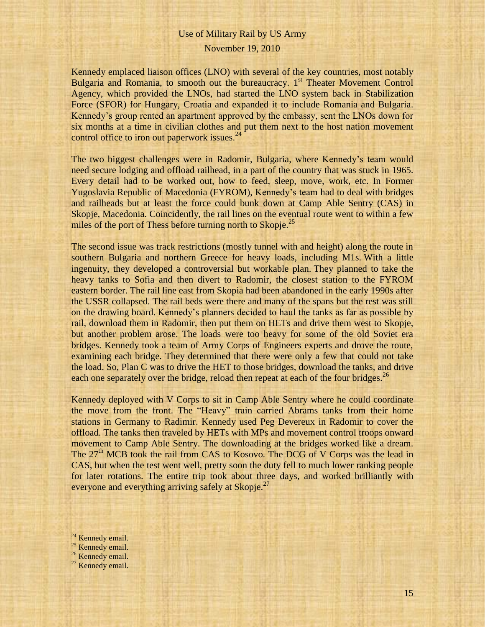## November 19, 2010

Kennedy emplaced liaison offices (LNO) with several of the key countries, most notably Bulgaria and Romania, to smooth out the bureaucracy. 1<sup>st</sup> Theater Movement Control Agency, which provided the LNOs, had started the LNO system back in Stabilization Force (SFOR) for Hungary, Croatia and expanded it to include Romania and Bulgaria. Kennedy's group rented an apartment approved by the embassy, sent the LNOs down for six months at a time in civilian clothes and put them next to the host nation movement control office to iron out paperwork issues.<sup>24</sup>

The two biggest challenges were in Radomir, Bulgaria, where Kennedy's team would need secure lodging and offload railhead, in a part of the country that was stuck in 1965. Every detail had to be worked out, how to feed, sleep, move, work, etc. In Former Yugoslavia Republic of Macedonia (FYROM), Kennedy's team had to deal with bridges and railheads but at least the force could bunk down at Camp Able Sentry (CAS) in Skopje, Macedonia. Coincidently, the rail lines on the eventual route went to within a few miles of the port of Thess before turning north to Skopje.<sup>25</sup>

The second issue was track restrictions (mostly tunnel with and height) along the route in southern Bulgaria and northern Greece for heavy loads, including M1s. With a little ingenuity, they developed a controversial but workable plan. They planned to take the heavy tanks to Sofia and then divert to Radomir, the closest station to the FYROM eastern border. The rail line east from Skopia had been abandoned in the early 1990s after the USSR collapsed. The rail beds were there and many of the spans but the rest was still on the drawing board. Kennedy's planners decided to haul the tanks as far as possible by rail, download them in Radomir, then put them on HETs and drive them west to Skopje, but another problem arose. The loads were too heavy for some of the old Soviet era bridges. Kennedy took a team of Army Corps of Engineers experts and drove the route, examining each bridge. They determined that there were only a few that could not take the load. So, Plan C was to drive the HET to those bridges, download the tanks, and drive each one separately over the bridge, reload then repeat at each of the four bridges.<sup>26</sup>

Kennedy deployed with V Corps to sit in Camp Able Sentry where he could coordinate the move from the front. The "Heavy" train carried Abrams tanks from their home stations in Germany to Radimir. Kennedy used Peg Devereux in Radomir to cover the offload. The tanks then traveled by HETs with MPs and movement control troops onward movement to Camp Able Sentry. The downloading at the bridges worked like a dream. The  $27<sup>th</sup> MCB$  took the rail from CAS to Kosovo. The DCG of V Corps was the lead in CAS, but when the test went well, pretty soon the duty fell to much lower ranking people for later rotations. The entire trip took about three days, and worked brilliantly with everyone and everything arriving safely at Skopje.<sup>27</sup>

<sup>24</sup> Kennedy email.

- <sup>25</sup> Kennedy email.
- <sup>26</sup> Kennedy email.
- $27$  Kennedy email.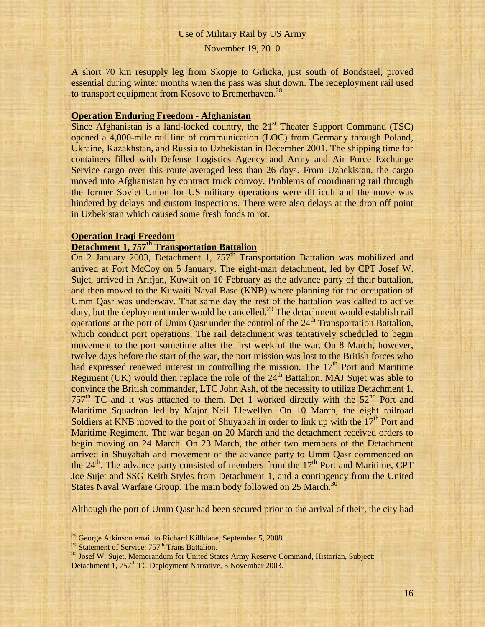A short 70 km resupply leg from Skopje to Grlicka, just south of Bondsteel, proved essential during winter months when the pass was shut down. The redeployment rail used to transport equipment from Kosovo to Bremerhaven.<sup>28</sup>

## **Operation Enduring Freedom - Afghanistan**

Since Afghanistan is a land-locked country, the  $21<sup>st</sup>$  Theater Support Command (TSC) opened a 4,000-mile rail line of communication (LOC) from Germany through Poland, Ukraine, Kazakhstan, and Russia to Uzbekistan in December 2001. The shipping time for containers filled with Defense Logistics Agency and Army and Air Force Exchange Service cargo over this route averaged less than 26 days. From Uzbekistan, the cargo moved into Afghanistan by contract truck convoy. Problems of coordinating rail through the former Soviet Union for US military operations were difficult and the move was hindered by delays and custom inspections. There were also delays at the drop off point in Uzbekistan which caused some fresh foods to rot.

#### **Operation Iraqi Freedom**

# **Detachment 1, 757th Transportation Battalion**

On 2 January 2003, Detachment 1,  $757<sup>th</sup>$  Transportation Battalion was mobilized and arrived at Fort McCoy on 5 January. The eight-man detachment, led by CPT Josef W. Sujet, arrived in Arifjan, Kuwait on 10 February as the advance party of their battalion, and then moved to the Kuwaiti Naval Base (KNB) where planning for the occupation of Umm Qasr was underway. That same day the rest of the battalion was called to active duty, but the deployment order would be cancelled.<sup>29</sup> The detachment would establish rail operations at the port of Umm Qasr under the control of the 24<sup>th</sup> Transportation Battalion, which conduct port operations. The rail detachment was tentatively scheduled to begin movement to the port sometime after the first week of the war. On 8 March, however, twelve days before the start of the war, the port mission was lost to the British forces who had expressed renewed interest in controlling the mission. The  $17<sup>th</sup>$  Port and Maritime Regiment (UK) would then replace the role of the  $24<sup>th</sup>$  Battalion. MAJ Sujet was able to convince the British commander, LTC John Ash, of the necessity to utilize Detachment 1, 757<sup>th</sup> TC and it was attached to them. Det 1 worked directly with the  $52<sup>nd</sup>$  Port and Maritime Squadron led by Major Neil Llewellyn. On 10 March, the eight railroad Soldiers at KNB moved to the port of Shuyabah in order to link up with the  $17<sup>th</sup>$  Port and Maritime Regiment. The war began on 20 March and the detachment received orders to begin moving on 24 March. On 23 March, the other two members of the Detachment arrived in Shuyabah and movement of the advance party to Umm Qasr commenced on the  $24<sup>th</sup>$ . The advance party consisted of members from the  $17<sup>th</sup>$  Port and Maritime, CPT Joe Sujet and SSG Keith Styles from Detachment 1, and a contingency from the United States Naval Warfare Group. The main body followed on 25 March.<sup>30</sup>

Although the port of Umm Qasr had been secured prior to the arrival of their, the city had

 $^{28}$  George Atkinson email to Richard Killblane, September 5, 2008.

<sup>&</sup>lt;sup>29</sup> Statement of Service: 757<sup>th</sup> Trans Battalion.

<sup>&</sup>lt;sup>30</sup> Josef W. Sujet, Memorandum for United States Army Reserve Command, Historian, Subject: Detachment 1, 757<sup>th</sup> TC Deployment Narrative, 5 November 2003.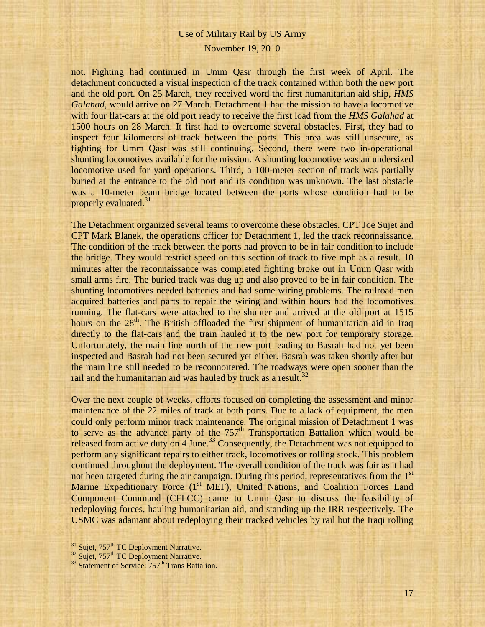## November 19, 2010

not. Fighting had continued in Umm Qasr through the first week of April. The detachment conducted a visual inspection of the track contained within both the new port and the old port. On 25 March, they received word the first humanitarian aid ship, *HMS Galahad*, would arrive on 27 March. Detachment 1 had the mission to have a locomotive with four flat-cars at the old port ready to receive the first load from the *HMS Galahad* at 1500 hours on 28 March. It first had to overcome several obstacles. First, they had to inspect four kilometers of track between the ports. This area was still unsecure, as fighting for Umm Qasr was still continuing. Second, there were two in-operational shunting locomotives available for the mission. A shunting locomotive was an undersized locomotive used for yard operations. Third, a 100-meter section of track was partially buried at the entrance to the old port and its condition was unknown. The last obstacle was a 10-meter beam bridge located between the ports whose condition had to be properly evaluated.<sup>31</sup>

The Detachment organized several teams to overcome these obstacles. CPT Joe Sujet and CPT Mark Blanek, the operations officer for Detachment 1, led the track reconnaissance. The condition of the track between the ports had proven to be in fair condition to include the bridge. They would restrict speed on this section of track to five mph as a result. 10 minutes after the reconnaissance was completed fighting broke out in Umm Qasr with small arms fire. The buried track was dug up and also proved to be in fair condition. The shunting locomotives needed batteries and had some wiring problems. The railroad men acquired batteries and parts to repair the wiring and within hours had the locomotives running. The flat-cars were attached to the shunter and arrived at the old port at 1515 hours on the 28<sup>th</sup>. The British offloaded the first shipment of humanitarian aid in Iraq directly to the flat-cars and the train hauled it to the new port for temporary storage. Unfortunately, the main line north of the new port leading to Basrah had not yet been inspected and Basrah had not been secured yet either. Basrah was taken shortly after but the main line still needed to be reconnoitered. The roadways were open sooner than the rail and the humanitarian aid was hauled by truck as a result.<sup>32</sup>

Over the next couple of weeks, efforts focused on completing the assessment and minor maintenance of the 22 miles of track at both ports. Due to a lack of equipment, the men could only perform minor track maintenance. The original mission of Detachment 1 was to serve as the advance party of the  $757<sup>th</sup>$  Transportation Battalion which would be released from active duty on 4 June.<sup>33</sup> Consequently, the Detachment was not equipped to perform any significant repairs to either track, locomotives or rolling stock. This problem continued throughout the deployment. The overall condition of the track was fair as it had not been targeted during the air campaign. During this period, representatives from the 1<sup>st</sup> Marine Expeditionary Force (1<sup>st</sup> MEF), United Nations, and Coalition Forces Land Component Command (CFLCC) came to Umm Qasr to discuss the feasibility of redeploying forces, hauling humanitarian aid, and standing up the IRR respectively. The USMC was adamant about redeploying their tracked vehicles by rail but the Iraqi rolling

<sup>&</sup>lt;sup>31</sup> Sujet, 757<sup>th</sup> TC Deployment Narrative.

<sup>&</sup>lt;sup>32</sup> Sujet, 757<sup>th</sup> TC Deployment Narrative.

 $33$  Statement of Service:  $757<sup>th</sup>$  Trans Battalion.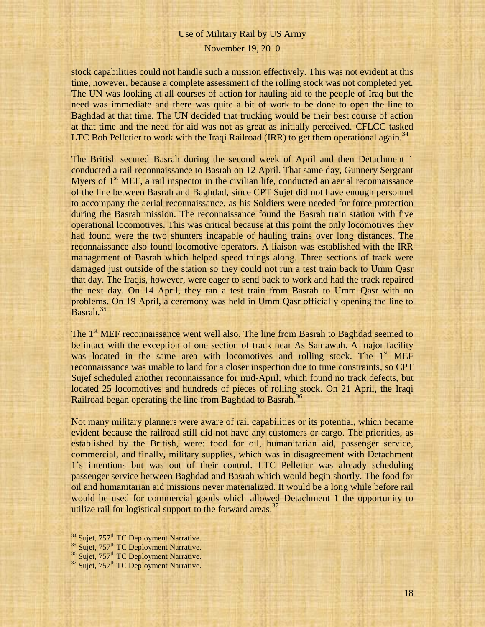## November 19, 2010

stock capabilities could not handle such a mission effectively. This was not evident at this time, however, because a complete assessment of the rolling stock was not completed yet. The UN was looking at all courses of action for hauling aid to the people of Iraq but the need was immediate and there was quite a bit of work to be done to open the line to Baghdad at that time. The UN decided that trucking would be their best course of action at that time and the need for aid was not as great as initially perceived. CFLCC tasked LTC Bob Pelletier to work with the Iraqi Railroad (IRR) to get them operational again.<sup>34</sup>

The British secured Basrah during the second week of April and then Detachment 1 conducted a rail reconnaissance to Basrah on 12 April. That same day, Gunnery Sergeant Myers of  $1<sup>st</sup> MEF$ , a rail inspector in the civilian life, conducted an aerial reconnaissance of the line between Basrah and Baghdad, since CPT Sujet did not have enough personnel to accompany the aerial reconnaissance, as his Soldiers were needed for force protection during the Basrah mission. The reconnaissance found the Basrah train station with five operational locomotives. This was critical because at this point the only locomotives they had found were the two shunters incapable of hauling trains over long distances. The reconnaissance also found locomotive operators. A liaison was established with the IRR management of Basrah which helped speed things along. Three sections of track were damaged just outside of the station so they could not run a test train back to Umm Qasr that day. The Iraqis, however, were eager to send back to work and had the track repaired the next day. On 14 April, they ran a test train from Basrah to Umm Qasr with no problems. On 19 April, a ceremony was held in Umm Qasr officially opening the line to Basrah.<sup>35</sup>

The 1<sup>st</sup> MEF reconnaissance went well also. The line from Basrah to Baghdad seemed to be intact with the exception of one section of track near As Samawah. A major facility was located in the same area with locomotives and rolling stock. The  $1<sup>st</sup>$  MEF reconnaissance was unable to land for a closer inspection due to time constraints, so CPT Sujef scheduled another reconnaissance for mid-April, which found no track defects, but located 25 locomotives and hundreds of pieces of rolling stock. On 21 April, the Iraqi Railroad began operating the line from Baghdad to Basrah.<sup>36</sup>

Not many military planners were aware of rail capabilities or its potential, which became evident because the railroad still did not have any customers or cargo. The priorities, as established by the British, were: food for oil, humanitarian aid, passenger service, commercial, and finally, military supplies, which was in disagreement with Detachment 1's intentions but was out of their control. LTC Pelletier was already scheduling passenger service between Baghdad and Basrah which would begin shortly. The food for oil and humanitarian aid missions never materialized. It would be a long while before rail would be used for commercial goods which allowed Detachment 1 the opportunity to utilize rail for logistical support to the forward areas.<sup>37</sup>

<sup>&</sup>lt;sup>34</sup> Sujet, 757<sup>th</sup> TC Deployment Narrative.

<sup>&</sup>lt;sup>35</sup> Sujet, 757<sup>th</sup> TC Deployment Narrative.

<sup>&</sup>lt;sup>36</sup> Sujet, 757<sup>th</sup> TC Deployment Narrative.

 $37$  Sujet,  $757<sup>th</sup>$  TC Deployment Narrative.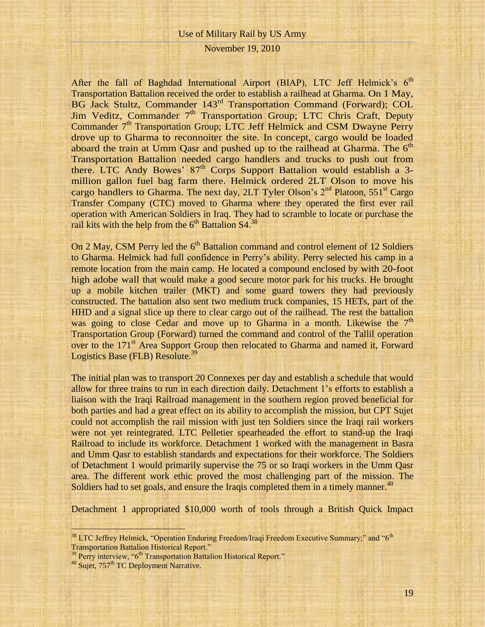## November 19, 2010

After the fall of Baghdad International Airport (BIAP), LTC Jeff Helmick's  $6<sup>th</sup>$ Transportation Battalion received the order to establish a railhead at Gharma. On 1 May, BG Jack Stultz, Commander 143rd Transportation Command (Forward); COL Jim Veditz, Commander 7<sup>th</sup> Transportation Group; LTC Chris Craft, Deputy Commander  $7<sup>th</sup>$  Transportation Group; LTC Jeff Helmick and CSM Dwayne Perry drove up to Gharma to reconnoiter the site. In concept, cargo would be loaded aboard the train at Umm Qasr and pushed up to the railhead at Gharma. The 6<sup>th</sup> Transportation Battalion needed cargo handlers and trucks to push out from there. LTC Andy Bowes'  $87<sup>th</sup>$  Corps Support Battalion would establish a 3million gallon fuel bag farm there. Helmick ordered 2LT Olson to move his cargo handlers to Gharma. The next day, 2LT Tyler Olson's  $2<sup>nd</sup>$  Platoon, 551<sup>st</sup> Cargo Transfer Company (CTC) moved to Gharma where they operated the first ever rail operation with American Soldiers in Iraq. They had to scramble to locate or purchase the rail kits with the help from the  $6<sup>th</sup>$  Battalion S4.<sup>38</sup>

On 2 May, CSM Perry led the  $6<sup>th</sup>$  Battalion command and control element of 12 Soldiers to Gharma. Helmick had full confidence in Perry's ability. Perry selected his camp in a remote location from the main camp. He located a compound enclosed by with 20-foot high adobe wall that would make a good secure motor park for his trucks. He brought up a mobile kitchen trailer (MKT) and some guard towers they had previously constructed. The battalion also sent two medium truck companies, 15 HETs, part of the HHD and a signal slice up there to clear cargo out of the railhead. The rest the battalion was going to close Cedar and move up to Gharma in a month. Likewise the  $7<sup>th</sup>$ Transportation Group (Forward) turned the command and control of the Tallil operation over to the 171<sup>st</sup> Area Support Group then relocated to Gharma and named it, Forward Logistics Base (FLB) Resolute.<sup>39</sup>

The initial plan was to transport 20 Connexes per day and establish a schedule that would allow for three trains to run in each direction daily. Detachment 1's efforts to establish a liaison with the Iraqi Railroad management in the southern region proved beneficial for both parties and had a great effect on its ability to accomplish the mission, but CPT Sujet could not accomplish the rail mission with just ten Soldiers since the Iraqi rail workers were not yet reintegrated. LTC Pelletier spearheaded the effort to stand-up the Iraqi Railroad to include its workforce. Detachment 1 worked with the management in Basra and Umm Qasr to establish standards and expectations for their workforce. The Soldiers of Detachment 1 would primarily supervise the 75 or so Iraqi workers in the Umm Qasr area. The different work ethic proved the most challenging part of the mission. The Soldiers had to set goals, and ensure the Iraqis completed them in a timely manner.<sup>40</sup>

Detachment 1 appropriated \$10,000 worth of tools through a British Quick Impact

 $38$  LTC Jeffrey Helmick, "Operation Enduring Freedom/Iraqi Freedom Executive Summary;" and " $6<sup>th</sup>$ Transportation Battalion Historical Report."

<sup>&</sup>lt;sup>39</sup> Perry interview, "6<sup>th</sup> Transportation Battalion Historical Report."

 $40$  Sujet,  $757<sup>th</sup>$  TC Deployment Narrative.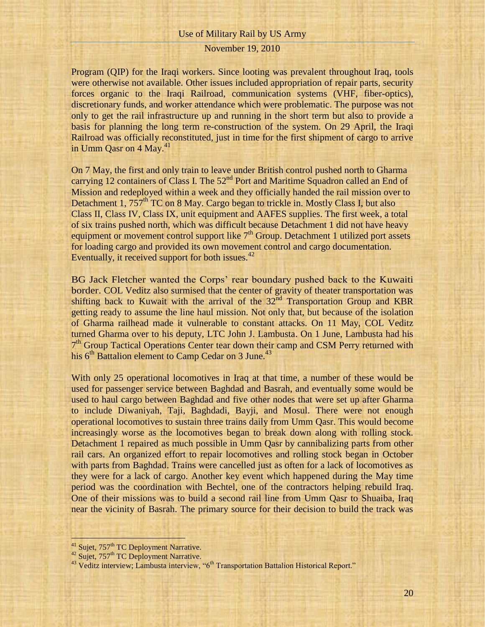## November 19, 2010

Program (QIP) for the Iraqi workers. Since looting was prevalent throughout Iraq, tools were otherwise not available. Other issues included appropriation of repair parts, security forces organic to the Iraqi Railroad, communication systems (VHF, fiber-optics), discretionary funds, and worker attendance which were problematic. The purpose was not only to get the rail infrastructure up and running in the short term but also to provide a basis for planning the long term re-construction of the system. On 29 April, the Iraqi Railroad was officially reconstituted, just in time for the first shipment of cargo to arrive in Umm Qasr on 4 May.<sup>41</sup>

On 7 May, the first and only train to leave under British control pushed north to Gharma carrying 12 containers of Class I. The  $52<sup>nd</sup>$  Port and Maritime Squadron called an End of Mission and redeployed within a week and they officially handed the rail mission over to Detachment 1,  $757<sup>th</sup> TC$  on 8 May. Cargo began to trickle in. Mostly Class I, but also Class II, Class IV, Class IX, unit equipment and AAFES supplies. The first week, a total of six trains pushed north, which was difficult because Detachment 1 did not have heavy equipment or movement control support like  $7<sup>th</sup>$  Group. Detachment 1 utilized port assets for loading cargo and provided its own movement control and cargo documentation. Eventually, it received support for both issues. $42$ 

BG Jack Fletcher wanted the Corps' rear boundary pushed back to the Kuwaiti border. COL Veditz also surmised that the center of gravity of theater transportation was shifting back to Kuwait with the arrival of the  $32<sup>nd</sup>$  Transportation Group and KBR getting ready to assume the line haul mission. Not only that, but because of the isolation of Gharma railhead made it vulnerable to constant attacks. On 11 May, COL Veditz turned Gharma over to his deputy, LTC John J. Lambusta. On 1 June, Lambusta had his 7<sup>th</sup> Group Tactical Operations Center tear down their camp and CSM Perry returned with his  $6<sup>th</sup>$  Battalion element to Camp Cedar on 3 June.<sup>43</sup>

With only 25 operational locomotives in Iraq at that time, a number of these would be used for passenger service between Baghdad and Basrah, and eventually some would be used to haul cargo between Baghdad and five other nodes that were set up after Gharma to include Diwaniyah, Taji, Baghdadi, Bayji, and Mosul. There were not enough operational locomotives to sustain three trains daily from Umm Qasr. This would become increasingly worse as the locomotives began to break down along with rolling stock. Detachment 1 repaired as much possible in Umm Qasr by cannibalizing parts from other rail cars. An organized effort to repair locomotives and rolling stock began in October with parts from Baghdad. Trains were cancelled just as often for a lack of locomotives as they were for a lack of cargo. Another key event which happened during the May time period was the coordination with Bechtel, one of the contractors helping rebuild Iraq. One of their missions was to build a second rail line from Umm Qasr to Shuaiba, Iraq near the vicinity of Basrah. The primary source for their decision to build the track was

<sup>&</sup>lt;sup>41</sup> Sujet, 757<sup>th</sup> TC Deployment Narrative.

<sup>&</sup>lt;sup>42</sup> Sujet, 757<sup>th</sup> TC Deployment Narrative.

<sup>&</sup>lt;sup>43</sup> Veditz interview; Lambusta interview, "6<sup>th</sup> Transportation Battalion Historical Report."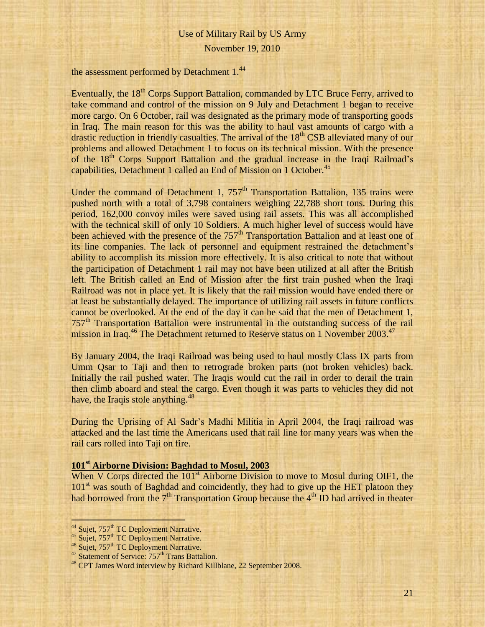November 19, 2010

the assessment performed by Detachment 1.<sup>44</sup>

Eventually, the 18<sup>th</sup> Corps Support Battalion, commanded by LTC Bruce Ferry, arrived to take command and control of the mission on 9 July and Detachment 1 began to receive more cargo. On 6 October, rail was designated as the primary mode of transporting goods in Iraq. The main reason for this was the ability to haul vast amounts of cargo with a drastic reduction in friendly casualties. The arrival of the  $18<sup>th</sup>$  CSB alleviated many of our problems and allowed Detachment 1 to focus on its technical mission. With the presence of the 18<sup>th</sup> Corps Support Battalion and the gradual increase in the Iraqi Railroad's capabilities, Detachment 1 called an End of Mission on 1 October.<sup>45</sup>

Under the command of Detachment 1,  $757<sup>th</sup>$  Transportation Battalion, 135 trains were pushed north with a total of 3,798 containers weighing 22,788 short tons. During this period, 162,000 convoy miles were saved using rail assets. This was all accomplished with the technical skill of only 10 Soldiers. A much higher level of success would have been achieved with the presence of the  $757<sup>th</sup>$  Transportation Battalion and at least one of its line companies. The lack of personnel and equipment restrained the detachment's ability to accomplish its mission more effectively. It is also critical to note that without the participation of Detachment 1 rail may not have been utilized at all after the British left. The British called an End of Mission after the first train pushed when the Iraqi Railroad was not in place yet. It is likely that the rail mission would have ended there or at least be substantially delayed. The importance of utilizing rail assets in future conflicts cannot be overlooked. At the end of the day it can be said that the men of Detachment 1, 757<sup>th</sup> Transportation Battalion were instrumental in the outstanding success of the rail mission in Iraq.<sup>46</sup> The Detachment returned to Reserve status on 1 November 2003.<sup>47</sup>

By January 2004, the Iraqi Railroad was being used to haul mostly Class IX parts from Umm Qsar to Taji and then to retrograde broken parts (not broken vehicles) back. Initially the rail pushed water. The Iraqis would cut the rail in order to derail the train then climb aboard and steal the cargo. Even though it was parts to vehicles they did not have, the Iraqis stole anything.<sup>48</sup>

During the Uprising of Al Sadr's Madhi Militia in April 2004, the Iraqi railroad was attacked and the last time the Americans used that rail line for many years was when the rail cars rolled into Taji on fire.

## **101st Airborne Division: Baghdad to Mosul, 2003**

When V Corps directed the  $101<sup>st</sup>$  Airborne Division to move to Mosul during OIF1, the  $101<sup>st</sup>$  was south of Baghdad and coincidently, they had to give up the HET platoon they had borrowed from the  $7<sup>th</sup>$  Transportation Group because the  $4<sup>th</sup>$  ID had arrived in theater

<sup>&</sup>lt;sup>44</sup> Sujet, 757<sup>th</sup> TC Deployment Narrative.

<sup>&</sup>lt;sup>45</sup> Sujet, 757<sup>th</sup> TC Deployment Narrative.

<sup>&</sup>lt;sup>46</sup> Sujet, 757<sup>th</sup> TC Deployment Narrative.

<sup>&</sup>lt;sup>47</sup> Statement of Service: 757<sup>th</sup> Trans Battalion.

<sup>&</sup>lt;sup>48</sup> CPT James Word interview by Richard Killblane, 22 September 2008.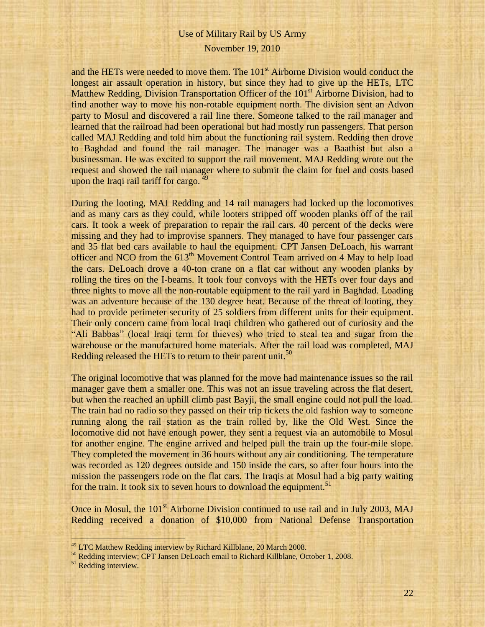## November 19, 2010

and the HETs were needed to move them. The 101<sup>st</sup> Airborne Division would conduct the longest air assault operation in history, but since they had to give up the HETs, LTC Matthew Redding, Division Transportation Officer of the 101<sup>st</sup> Airborne Division, had to find another way to move his non-rotable equipment north. The division sent an Advon party to Mosul and discovered a rail line there. Someone talked to the rail manager and learned that the railroad had been operational but had mostly run passengers. That person called MAJ Redding and told him about the functioning rail system. Redding then drove to Baghdad and found the rail manager. The manager was a Baathist but also a businessman. He was excited to support the rail movement. MAJ Redding wrote out the request and showed the rail manager where to submit the claim for fuel and costs based upon the Iraqi rail tariff for cargo. <sup>49</sup>

During the looting, MAJ Redding and 14 rail managers had locked up the locomotives and as many cars as they could, while looters stripped off wooden planks off of the rail cars. It took a week of preparation to repair the rail cars. 40 percent of the decks were missing and they had to improvise spanners. They managed to have four passenger cars and 35 flat bed cars available to haul the equipment. CPT Jansen DeLoach, his warrant officer and NCO from the  $613<sup>th</sup>$  Movement Control Team arrived on 4 May to help load the cars. DeLoach drove a 40-ton crane on a flat car without any wooden planks by rolling the tires on the I-beams. It took four convoys with the HETs over four days and three nights to move all the non-routable equipment to the rail yard in Baghdad. Loading was an adventure because of the 130 degree heat. Because of the threat of looting, they had to provide perimeter security of 25 soldiers from different units for their equipment. Their only concern came from local Iraqi children who gathered out of curiosity and the "Ali Babbas" (local Iraqi term for thieves) who tried to steal tea and sugar from the warehouse or the manufactured home materials. After the rail load was completed, MAJ Redding released the HETs to return to their parent unit.<sup>50</sup>

The original locomotive that was planned for the move had maintenance issues so the rail manager gave them a smaller one. This was not an issue traveling across the flat desert, but when the reached an uphill climb past Bayji, the small engine could not pull the load. The train had no radio so they passed on their trip tickets the old fashion way to someone running along the rail station as the train rolled by, like the Old West. Since the locomotive did not have enough power, they sent a request via an automobile to Mosul for another engine. The engine arrived and helped pull the train up the four-mile slope. They completed the movement in 36 hours without any air conditioning. The temperature was recorded as 120 degrees outside and 150 inside the cars, so after four hours into the mission the passengers rode on the flat cars. The Iraqis at Mosul had a big party waiting for the train. It took six to seven hours to download the equipment.<sup>51</sup>

Once in Mosul, the 101<sup>st</sup> Airborne Division continued to use rail and in July 2003, MAJ Redding received a donation of \$10,000 from National Defense Transportation

<sup>&</sup>lt;sup>49</sup> LTC Matthew Redding interview by Richard Killblane, 20 March 2008.

<sup>50</sup> Redding interview; CPT Jansen DeLoach email to Richard Killblane, October 1, 2008.

<sup>&</sup>lt;sup>51</sup> Redding interview.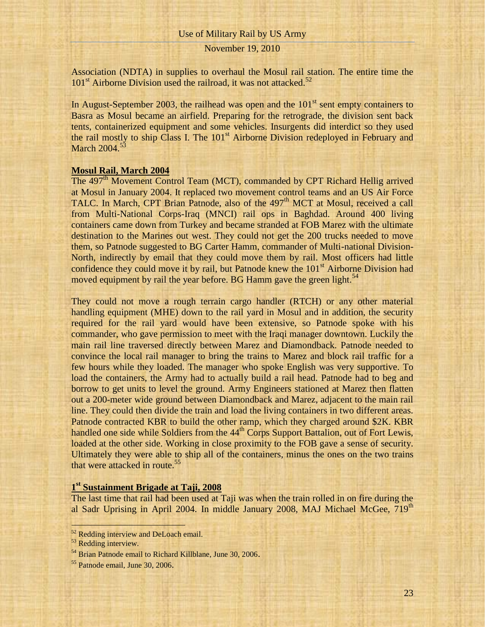## November 19, 2010

Association (NDTA) in supplies to overhaul the Mosul rail station. The entire time the  $101<sup>st</sup>$  Airborne Division used the railroad, it was not attacked.<sup>52</sup>

In August-September 2003, the railhead was open and the  $101<sup>st</sup>$  sent empty containers to Basra as Mosul became an airfield. Preparing for the retrograde, the division sent back tents, containerized equipment and some vehicles. Insurgents did interdict so they used the rail mostly to ship Class I. The 101<sup>st</sup> Airborne Division redeployed in February and March 2004.<sup>53</sup>

## **Mosul Rail, March 2004**

The 497<sup>th</sup> Movement Control Team (MCT), commanded by CPT Richard Hellig arrived at Mosul in January 2004. It replaced two movement control teams and an US Air Force TALC. In March, CPT Brian Patnode, also of the 497<sup>th</sup> MCT at Mosul, received a call from Multi-National Corps-Iraq (MNCI) rail ops in Baghdad. Around 400 living containers came down from Turkey and became stranded at FOB Marez with the ultimate destination to the Marines out west. They could not get the 200 trucks needed to move them, so Patnode suggested to BG Carter Hamm, commander of Multi-national Division-North, indirectly by email that they could move them by rail. Most officers had little confidence they could move it by rail, but Patnode knew the  $101<sup>st</sup>$  Airborne Division had moved equipment by rail the year before. BG Hamm gave the green light.<sup>54</sup>

They could not move a rough terrain cargo handler (RTCH) or any other material handling equipment (MHE) down to the rail yard in Mosul and in addition, the security required for the rail yard would have been extensive, so Patnode spoke with his commander, who gave permission to meet with the Iraqi manager downtown. Luckily the main rail line traversed directly between Marez and Diamondback. Patnode needed to convince the local rail manager to bring the trains to Marez and block rail traffic for a few hours while they loaded. The manager who spoke English was very supportive. To load the containers, the Army had to actually build a rail head. Patnode had to beg and borrow to get units to level the ground. Army Engineers stationed at Marez then flatten out a 200-meter wide ground between Diamondback and Marez, adjacent to the main rail line. They could then divide the train and load the living containers in two different areas. Patnode contracted KBR to build the other ramp, which they charged around \$2K. KBR handled one side while Soldiers from the 44<sup>th</sup> Corps Support Battalion, out of Fort Lewis, loaded at the other side. Working in close proximity to the FOB gave a sense of security. Ultimately they were able to ship all of the containers, minus the ones on the two trains that were attacked in route.<sup>55</sup>

# **1 st Sustainment Brigade at Taji, 2008**

The last time that rail had been used at Taji was when the train rolled in on fire during the al Sadr Uprising in April 2004. In middle January 2008, MAJ Michael McGee, 719<sup>th</sup>

<sup>&</sup>lt;sup>52</sup> Redding interview and DeLoach email.

<sup>&</sup>lt;sup>53</sup> Redding interview.

<sup>&</sup>lt;sup>54</sup> Brian Patnode email to Richard Killblane, June 30, 2006.

<sup>55</sup> Patnode email, June 30, 2006.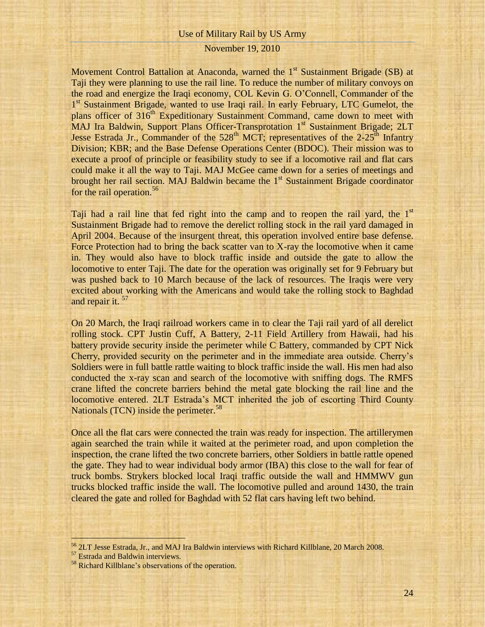Movement Control Battalion at Anaconda, warned the  $1<sup>st</sup>$  Sustainment Brigade (SB) at Taji they were planning to use the rail line. To reduce the number of military convoys on the road and energize the Iraqi economy, COL Kevin G. O'Connell, Commander of the 1<sup>st</sup> Sustainment Brigade, wanted to use Iraqi rail. In early February, LTC Gumelot, the plans officer of 316<sup>th</sup> Expeditionary Sustainment Command, came down to meet with MAJ Ira Baldwin, Support Plans Officer-Transprotation 1st Sustainment Brigade; 2LT Jesse Estrada Jr., Commander of the  $528<sup>th</sup> MCT$ ; representatives of the 2-25<sup>th</sup> Infantry Division; KBR; and the Base Defense Operations Center (BDOC). Their mission was to execute a proof of principle or feasibility study to see if a locomotive rail and flat cars could make it all the way to Taji. MAJ McGee came down for a series of meetings and brought her rail section. MAJ Baldwin became the  $1<sup>st</sup>$  Sustainment Brigade coordinator for the rail operation.<sup>56</sup>

Taji had a rail line that fed right into the camp and to reopen the rail yard, the  $1<sup>st</sup>$ Sustainment Brigade had to remove the derelict rolling stock in the rail yard damaged in April 2004. Because of the insurgent threat, this operation involved entire base defense. Force Protection had to bring the back scatter van to X-ray the locomotive when it came in. They would also have to block traffic inside and outside the gate to allow the locomotive to enter Taji. The date for the operation was originally set for 9 February but was pushed back to 10 March because of the lack of resources. The Iraqis were very excited about working with the Americans and would take the rolling stock to Baghdad and repair it.<sup>57</sup>

On 20 March, the Iraqi railroad workers came in to clear the Taji rail yard of all derelict rolling stock. CPT Justin Cuff, A Battery, 2-11 Field Artillery from Hawaii, had his battery provide security inside the perimeter while C Battery, commanded by CPT Nick Cherry, provided security on the perimeter and in the immediate area outside. Cherry's Soldiers were in full battle rattle waiting to block traffic inside the wall. His men had also conducted the x-ray scan and search of the locomotive with sniffing dogs. The RMFS crane lifted the concrete barriers behind the metal gate blocking the rail line and the locomotive entered. 2LT Estrada's MCT inherited the job of escorting Third County Nationals (TCN) inside the perimeter.<sup>58</sup>

Once all the flat cars were connected the train was ready for inspection. The artillerymen again searched the train while it waited at the perimeter road, and upon completion the inspection, the crane lifted the two concrete barriers, other Soldiers in battle rattle opened the gate. They had to wear individual body armor (IBA) this close to the wall for fear of truck bombs. Strykers blocked local Iraqi traffic outside the wall and HMMWV gun trucks blocked traffic inside the wall. The locomotive pulled and around 1430, the train cleared the gate and rolled for Baghdad with 52 flat cars having left two behind.

<sup>56</sup> 2LT Jesse Estrada, Jr., and MAJ Ira Baldwin interviews with Richard Killblane, 20 March 2008.

<sup>&</sup>lt;sup>57</sup> Estrada and Baldwin interviews.

<sup>58</sup> Richard Killblane's observations of the operation.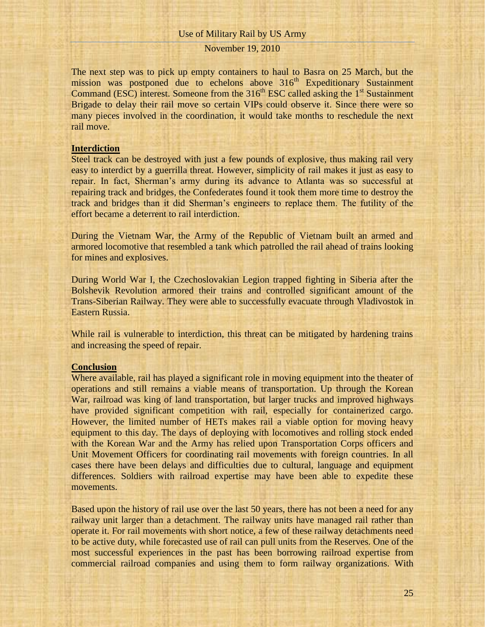## November 19, 2010

The next step was to pick up empty containers to haul to Basra on 25 March, but the mission was postponed due to echelons above  $316<sup>th</sup>$  Expeditionary Sustainment Command (ESC) interest. Someone from the  $316<sup>th</sup>$  ESC called asking the  $1<sup>st</sup>$  Sustainment Brigade to delay their rail move so certain VIPs could observe it. Since there were so many pieces involved in the coordination, it would take months to reschedule the next rail move.

### **Interdiction**

Steel track can be destroyed with just a few pounds of explosive, thus making rail very easy to interdict by a guerrilla threat. However, simplicity of rail makes it just as easy to repair. In fact, Sherman's army during its advance to Atlanta was so successful at repairing track and bridges, the Confederates found it took them more time to destroy the track and bridges than it did Sherman's engineers to replace them. The futility of the effort became a deterrent to rail interdiction.

During the Vietnam War, the Army of the Republic of Vietnam built an armed and armored locomotive that resembled a tank which patrolled the rail ahead of trains looking for mines and explosives.

During World War I, the Czechoslovakian Legion trapped fighting in Siberia after the Bolshevik Revolution armored their trains and controlled significant amount of the Trans-Siberian Railway. They were able to successfully evacuate through Vladivostok in Eastern Russia.

While rail is vulnerable to interdiction, this threat can be mitigated by hardening trains and increasing the speed of repair.

#### **Conclusion**

Where available, rail has played a significant role in moving equipment into the theater of operations and still remains a viable means of transportation. Up through the Korean War, railroad was king of land transportation, but larger trucks and improved highways have provided significant competition with rail, especially for containerized cargo. However, the limited number of HETs makes rail a viable option for moving heavy equipment to this day. The days of deploying with locomotives and rolling stock ended with the Korean War and the Army has relied upon Transportation Corps officers and Unit Movement Officers for coordinating rail movements with foreign countries. In all cases there have been delays and difficulties due to cultural, language and equipment differences. Soldiers with railroad expertise may have been able to expedite these movements.

Based upon the history of rail use over the last 50 years, there has not been a need for any railway unit larger than a detachment. The railway units have managed rail rather than operate it. For rail movements with short notice, a few of these railway detachments need to be active duty, while forecasted use of rail can pull units from the Reserves. One of the most successful experiences in the past has been borrowing railroad expertise from commercial railroad companies and using them to form railway organizations. With